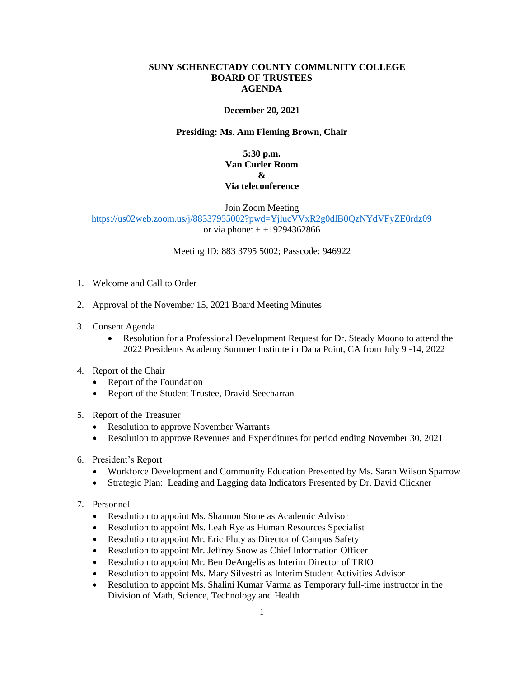#### **SUNY SCHENECTADY COUNTY COMMUNITY COLLEGE BOARD OF TRUSTEES AGENDA**

#### **December 20, 2021**

### **Presiding: Ms. Ann Fleming Brown, Chair**

## **5:30 p.m. Van Curler Room & Via teleconference**

Join Zoom Meeting

<https://us02web.zoom.us/j/88337955002?pwd=YjlucVVxR2g0dlB0QzNYdVFyZE0rdz09> or via phone: + +19294362866

Meeting ID: 883 3795 5002; Passcode: 946922

- 1. Welcome and Call to Order
- 2. Approval of the November 15, 2021 Board Meeting Minutes
- 3. Consent Agenda
	- 2022 Presidents Academy Summer Institute in Dana Point, CA from July 9 -14, 2022 • Resolution for a Professional Development Request for Dr. Steady Moono to attend the
- 4. Report of the Chair
	- Report of the Foundation
	- Report of the Student Trustee, Dravid Seecharran
- 5. Report of the Treasurer
	- Resolution to approve November Warrants
	- Resolution to approve Revenues and Expenditures for period ending November 30, 2021
- 6. President's Report
	- Workforce Development and Community Education Presented by Ms. Sarah Wilson Sparrow
	- Strategic Plan: Leading and Lagging data Indicators Presented by Dr. David Clickner
- 7. Personnel
	- Resolution to appoint Ms. Shannon Stone as Academic Advisor
	- Resolution to appoint Ms. Leah Rye as Human Resources Specialist
	- Resolution to appoint Mr. Eric Fluty as Director of Campus Safety
	- Resolution to appoint Mr. Jeffrey Snow as Chief Information Officer
	- Resolution to appoint Mr. Ben DeAngelis as Interim Director of TRIO
	- Resolution to appoint Ms. Mary Silvestri as Interim Student Activities Advisor
	- • Resolution to appoint Ms. Shalini Kumar Varma as Temporary full-time instructor in the Division of Math, Science, Technology and Health